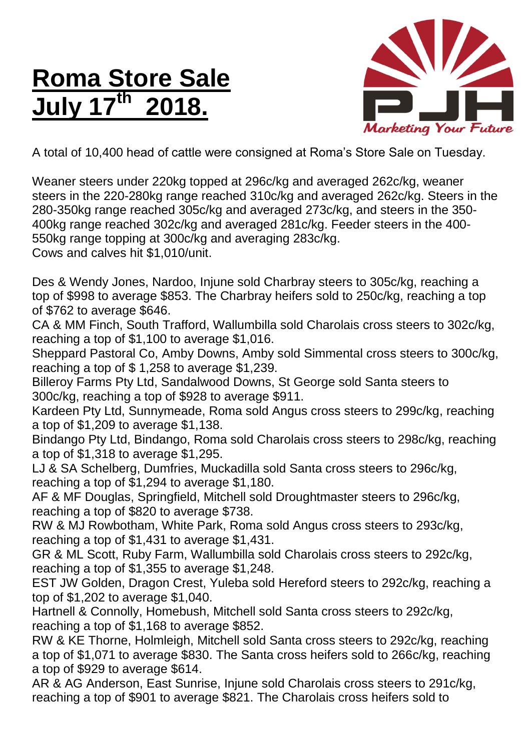## **Roma Store Sale July 17 th 2018.**



A total of 10,400 head of cattle were consigned at Roma's Store Sale on Tuesday.

Weaner steers under 220kg topped at 296c/kg and averaged 262c/kg, weaner steers in the 220-280kg range reached 310c/kg and averaged 262c/kg. Steers in the 280-350kg range reached 305c/kg and averaged 273c/kg, and steers in the 350- 400kg range reached 302c/kg and averaged 281c/kg. Feeder steers in the 400- 550kg range topping at 300c/kg and averaging 283c/kg. Cows and calves hit \$1,010/unit.

Des & Wendy Jones, Nardoo, Injune sold Charbray steers to 305c/kg, reaching a top of \$998 to average \$853. The Charbray heifers sold to 250c/kg, reaching a top of \$762 to average \$646.

CA & MM Finch, South Trafford, Wallumbilla sold Charolais cross steers to 302c/kg, reaching a top of \$1,100 to average \$1,016.

Sheppard Pastoral Co, Amby Downs, Amby sold Simmental cross steers to 300c/kg, reaching a top of \$ 1,258 to average \$1,239.

Billeroy Farms Pty Ltd, Sandalwood Downs, St George sold Santa steers to 300c/kg, reaching a top of \$928 to average \$911.

Kardeen Pty Ltd, Sunnymeade, Roma sold Angus cross steers to 299c/kg, reaching a top of \$1,209 to average \$1,138.

Bindango Pty Ltd, Bindango, Roma sold Charolais cross steers to 298c/kg, reaching a top of \$1,318 to average \$1,295.

LJ & SA Schelberg, Dumfries, Muckadilla sold Santa cross steers to 296c/kg, reaching a top of \$1,294 to average \$1,180.

AF & MF Douglas, Springfield, Mitchell sold Droughtmaster steers to 296c/kg, reaching a top of \$820 to average \$738.

RW & MJ Rowbotham, White Park, Roma sold Angus cross steers to 293c/kg, reaching a top of \$1,431 to average \$1,431.

GR & ML Scott, Ruby Farm, Wallumbilla sold Charolais cross steers to 292c/kg, reaching a top of \$1,355 to average \$1,248.

EST JW Golden, Dragon Crest, Yuleba sold Hereford steers to 292c/kg, reaching a top of \$1,202 to average \$1,040.

Hartnell & Connolly, Homebush, Mitchell sold Santa cross steers to 292c/kg, reaching a top of \$1,168 to average \$852.

RW & KE Thorne, Holmleigh, Mitchell sold Santa cross steers to 292c/kg, reaching a top of \$1,071 to average \$830. The Santa cross heifers sold to 266c/kg, reaching a top of \$929 to average \$614.

AR & AG Anderson, East Sunrise, Injune sold Charolais cross steers to 291c/kg, reaching a top of \$901 to average \$821. The Charolais cross heifers sold to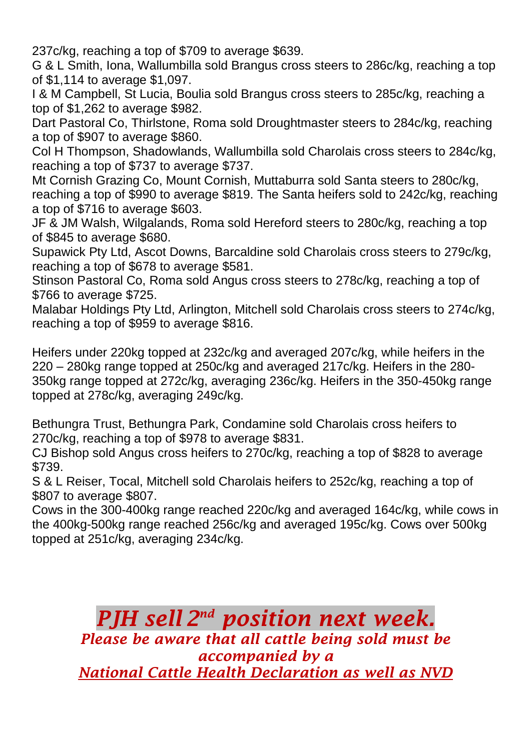237c/kg, reaching a top of \$709 to average \$639.

G & L Smith, Iona, Wallumbilla sold Brangus cross steers to 286c/kg, reaching a top of \$1,114 to average \$1,097.

I & M Campbell, St Lucia, Boulia sold Brangus cross steers to 285c/kg, reaching a top of \$1,262 to average \$982.

Dart Pastoral Co, Thirlstone, Roma sold Droughtmaster steers to 284c/kg, reaching a top of \$907 to average \$860.

Col H Thompson, Shadowlands, Wallumbilla sold Charolais cross steers to 284c/kg, reaching a top of \$737 to average \$737.

Mt Cornish Grazing Co, Mount Cornish, Muttaburra sold Santa steers to 280c/kg, reaching a top of \$990 to average \$819. The Santa heifers sold to 242c/kg, reaching a top of \$716 to average \$603.

JF & JM Walsh, Wilgalands, Roma sold Hereford steers to 280c/kg, reaching a top of \$845 to average \$680.

Supawick Pty Ltd, Ascot Downs, Barcaldine sold Charolais cross steers to 279c/kg, reaching a top of \$678 to average \$581.

Stinson Pastoral Co, Roma sold Angus cross steers to 278c/kg, reaching a top of \$766 to average \$725.

Malabar Holdings Pty Ltd, Arlington, Mitchell sold Charolais cross steers to 274c/kg, reaching a top of \$959 to average \$816.

Heifers under 220kg topped at 232c/kg and averaged 207c/kg, while heifers in the 220 – 280kg range topped at 250c/kg and averaged 217c/kg. Heifers in the 280- 350kg range topped at 272c/kg, averaging 236c/kg. Heifers in the 350-450kg range topped at 278c/kg, averaging 249c/kg.

Bethungra Trust, Bethungra Park, Condamine sold Charolais cross heifers to 270c/kg, reaching a top of \$978 to average \$831.

CJ Bishop sold Angus cross heifers to 270c/kg, reaching a top of \$828 to average \$739.

S & L Reiser, Tocal, Mitchell sold Charolais heifers to 252c/kg, reaching a top of \$807 to average \$807.

Cows in the 300-400kg range reached 220c/kg and averaged 164c/kg, while cows in the 400kg-500kg range reached 256c/kg and averaged 195c/kg. Cows over 500kg topped at 251c/kg, averaging 234c/kg.

*PJH sell 2 nd position next week.*

*Please be aware that all cattle being sold must be accompanied by a National Cattle Health Declaration as well as NVD*